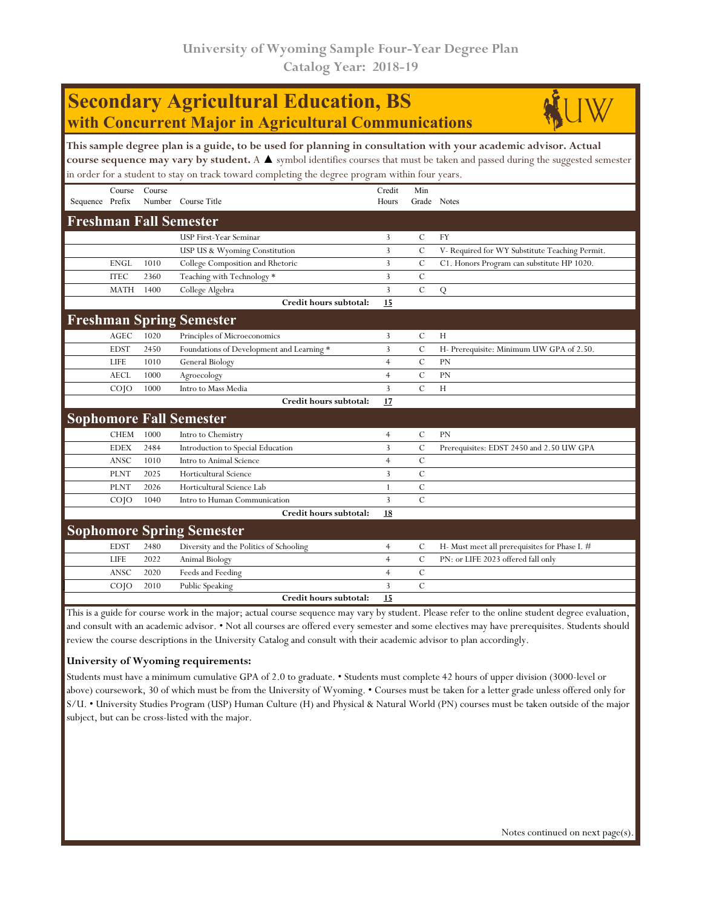# **Secondary Agricultural Education, BS with Concurrent Major in Agricultural Communications**



| This sample degree plan is a guide, to be used for planning in consultation with your academic advisor. Actual<br>course sequence may vary by student. A $\blacktriangle$ symbol identifies courses that must be taken and passed during the suggested semester<br>in order for a student to stay on track toward completing the degree program within four years. |                    |        |                                           |                 |                    |                                                |  |  |  |
|--------------------------------------------------------------------------------------------------------------------------------------------------------------------------------------------------------------------------------------------------------------------------------------------------------------------------------------------------------------------|--------------------|--------|-------------------------------------------|-----------------|--------------------|------------------------------------------------|--|--|--|
| Sequence Prefix                                                                                                                                                                                                                                                                                                                                                    | Course             | Course | Number Course Title                       | Credit<br>Hours | Min<br>Grade Notes |                                                |  |  |  |
|                                                                                                                                                                                                                                                                                                                                                                    |                    |        | <b>Freshman Fall Semester</b>             |                 |                    |                                                |  |  |  |
|                                                                                                                                                                                                                                                                                                                                                                    |                    |        | USP First-Year Seminar                    | 3               | $\mathcal{C}$      | <b>FY</b>                                      |  |  |  |
|                                                                                                                                                                                                                                                                                                                                                                    |                    |        | USP US & Wyoming Constitution             | 3               | $\mathbf C$        | V- Required for WY Substitute Teaching Permit. |  |  |  |
|                                                                                                                                                                                                                                                                                                                                                                    | <b>ENGL</b>        | 1010   | College Composition and Rhetoric          | 3               | $\cal C$           | C1. Honors Program can substitute HP 1020.     |  |  |  |
|                                                                                                                                                                                                                                                                                                                                                                    | <b>ITEC</b>        | 2360   | Teaching with Technology *                | 3               | $\mathbf C$        |                                                |  |  |  |
|                                                                                                                                                                                                                                                                                                                                                                    | <b>MATH</b>        | 1400   | College Algebra                           | $\overline{3}$  | $\mathbf C$        | Q                                              |  |  |  |
|                                                                                                                                                                                                                                                                                                                                                                    |                    |        | Credit hours subtotal:                    | 15              |                    |                                                |  |  |  |
|                                                                                                                                                                                                                                                                                                                                                                    |                    |        | <b>Freshman Spring Semester</b>           |                 |                    |                                                |  |  |  |
|                                                                                                                                                                                                                                                                                                                                                                    | <b>AGEC</b>        | 1020   | Principles of Microeconomics              | 3               | $\mathcal{C}$      | H                                              |  |  |  |
|                                                                                                                                                                                                                                                                                                                                                                    | <b>EDST</b>        | 2450   | Foundations of Development and Learning * | 3               | $\mathcal{C}$      | H- Prerequisite: Minimum UW GPA of 2.50.       |  |  |  |
|                                                                                                                                                                                                                                                                                                                                                                    | LIFE               | 1010   | General Biology                           | $\overline{4}$  | $\mathcal{C}$      | PN                                             |  |  |  |
|                                                                                                                                                                                                                                                                                                                                                                    | <b>AECL</b>        | 1000   | Agroecology                               | $\overline{4}$  | $\mathcal{C}$      | PN                                             |  |  |  |
|                                                                                                                                                                                                                                                                                                                                                                    | COJO               | 1000   | Intro to Mass Media                       | $\overline{3}$  | $\mathbf C$        | H                                              |  |  |  |
|                                                                                                                                                                                                                                                                                                                                                                    |                    |        | Credit hours subtotal:                    | 17              |                    |                                                |  |  |  |
| <b>Sophomore Fall Semester</b>                                                                                                                                                                                                                                                                                                                                     |                    |        |                                           |                 |                    |                                                |  |  |  |
|                                                                                                                                                                                                                                                                                                                                                                    | <b>CHEM</b>        | 1000   | Intro to Chemistry                        | $\overline{4}$  | C                  | <b>PN</b>                                      |  |  |  |
|                                                                                                                                                                                                                                                                                                                                                                    | <b>EDEX</b>        | 2484   | Introduction to Special Education         | 3               | $\mathcal{C}$      | Prerequisites: EDST 2450 and 2.50 UW GPA       |  |  |  |
|                                                                                                                                                                                                                                                                                                                                                                    | ANSC               | 1010   | Intro to Animal Science                   | $\overline{4}$  | $\mathcal{C}$      |                                                |  |  |  |
|                                                                                                                                                                                                                                                                                                                                                                    | <b>PLNT</b>        | 2025   | Horticultural Science                     | 3               | $\mathbf C$        |                                                |  |  |  |
|                                                                                                                                                                                                                                                                                                                                                                    | <b>PLNT</b>        | 2026   | Horticultural Science Lab                 | 1               | $\mathcal{C}$      |                                                |  |  |  |
|                                                                                                                                                                                                                                                                                                                                                                    | CO <sub>1</sub>    | 1040   | Intro to Human Communication              | 3               | $\mathbf C$        |                                                |  |  |  |
|                                                                                                                                                                                                                                                                                                                                                                    |                    |        | Credit hours subtotal:                    | 18              |                    |                                                |  |  |  |
|                                                                                                                                                                                                                                                                                                                                                                    |                    |        | <b>Sophomore Spring Semester</b>          |                 |                    |                                                |  |  |  |
|                                                                                                                                                                                                                                                                                                                                                                    | <b>EDST</b>        | 2480   | Diversity and the Politics of Schooling   | $\overline{4}$  | C                  | H- Must meet all prerequisites for Phase I. #  |  |  |  |
|                                                                                                                                                                                                                                                                                                                                                                    | LIFE               | 2022   | Animal Biology                            | $\overline{4}$  | $\mathcal{C}$      | PN: or LIFE 2023 offered fall only             |  |  |  |
|                                                                                                                                                                                                                                                                                                                                                                    | ANSC               | 2020   | Feeds and Feeding                         | $\overline{4}$  | $\mathcal{C}$      |                                                |  |  |  |
|                                                                                                                                                                                                                                                                                                                                                                    | $CO$ <sub>IO</sub> | 2010   | Public Speaking                           | 3               | $\mathcal{C}$      |                                                |  |  |  |
|                                                                                                                                                                                                                                                                                                                                                                    |                    |        | Credit hours subtotal:                    | 15              |                    |                                                |  |  |  |

This is a guide for course work in the major; actual course sequence may vary by student. Please refer to the online student degree evaluation, and consult with an academic advisor. • Not all courses are offered every semester and some electives may have prerequisites. Students should review the course descriptions in the University Catalog and consult with their academic advisor to plan accordingly.

#### **University of Wyoming requirements:**

Students must have a minimum cumulative GPA of 2.0 to graduate. • Students must complete 42 hours of upper division (3000-level or above) coursework, 30 of which must be from the University of Wyoming. • Courses must be taken for a letter grade unless offered only for S/U. • University Studies Program (USP) Human Culture (H) and Physical & Natural World (PN) courses must be taken outside of the major subject, but can be cross-listed with the major.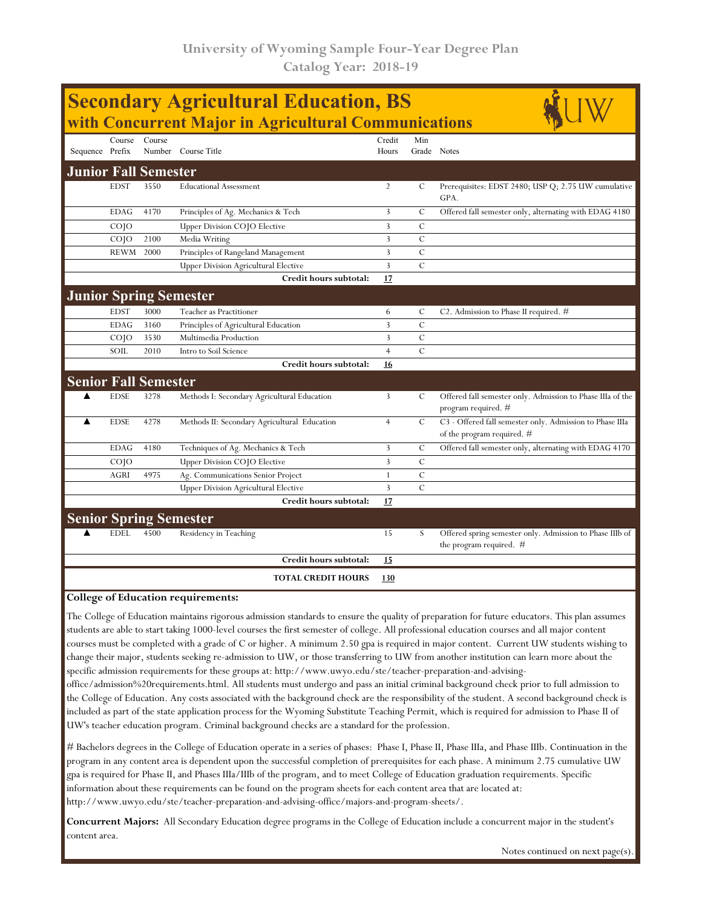| <b>Secondary Agricultural Education, BS</b><br>with Concurrent Major in Agricultural Communications |                 |                             |                                              |                |                         |                                                                                        |  |  |  |
|-----------------------------------------------------------------------------------------------------|-----------------|-----------------------------|----------------------------------------------|----------------|-------------------------|----------------------------------------------------------------------------------------|--|--|--|
|                                                                                                     |                 |                             |                                              |                |                         |                                                                                        |  |  |  |
|                                                                                                     | Course          | Course                      |                                              | Credit         | Min                     |                                                                                        |  |  |  |
| Sequence Prefix                                                                                     |                 |                             | Number Course Title                          | Hours          |                         | Grade Notes                                                                            |  |  |  |
| <b>Junior Fall Semester</b>                                                                         |                 |                             |                                              |                |                         |                                                                                        |  |  |  |
|                                                                                                     | <b>EDST</b>     | 3550                        | <b>Educational Assessment</b>                | $\overline{2}$ | C                       | Prerequisites: EDST 2480; USP Q; 2.75 UW cumulative<br>GPA.                            |  |  |  |
|                                                                                                     | <b>EDAG</b>     | 4170                        | Principles of Ag. Mechanics & Tech           | 3              | $\mathcal{C}_{0}^{(n)}$ | Offered fall semester only, alternating with EDAG 4180                                 |  |  |  |
|                                                                                                     | CO <sub>1</sub> |                             | Upper Division COJO Elective                 | $\overline{3}$ | $\mathcal{C}$           |                                                                                        |  |  |  |
|                                                                                                     | COJO            | 2100                        | Media Writing                                | 3              | $\mathcal{C}$           |                                                                                        |  |  |  |
|                                                                                                     | REWM            | 2000                        | Principles of Rangeland Management           | 3              | $\mathcal{C}$           |                                                                                        |  |  |  |
|                                                                                                     |                 |                             | <b>Upper Division Agricultural Elective</b>  | 3              | $\mathcal{C}$           |                                                                                        |  |  |  |
|                                                                                                     |                 |                             | Credit hours subtotal:                       | 17             |                         |                                                                                        |  |  |  |
|                                                                                                     |                 |                             | <b>Junior Spring Semester</b>                |                |                         |                                                                                        |  |  |  |
|                                                                                                     | <b>EDST</b>     | 3000                        | Teacher as Practitioner                      | 6              | $\mathcal{C}_{0}^{(n)}$ | C2. Admission to Phase II required. $#$                                                |  |  |  |
|                                                                                                     | <b>EDAG</b>     | 3160                        | Principles of Agricultural Education         | 3              | $\mathcal{C}$           |                                                                                        |  |  |  |
|                                                                                                     | CO <sub>1</sub> | 3530                        | Multimedia Production                        | 3              | $\mathcal{C}$           |                                                                                        |  |  |  |
|                                                                                                     | SOIL            | 2010                        | Intro to Soil Science                        | $\overline{4}$ | $\mathcal{C}$           |                                                                                        |  |  |  |
|                                                                                                     |                 |                             | Credit hours subtotal:                       | 16             |                         |                                                                                        |  |  |  |
|                                                                                                     |                 | <b>Senior Fall Semester</b> |                                              |                |                         |                                                                                        |  |  |  |
| ▲                                                                                                   | <b>EDSE</b>     | 3278                        | Methods I: Secondary Agricultural Education  | $\overline{3}$ | $\mathcal{C}$           | Offered fall semester only. Admission to Phase IIIa of the<br>program required. #      |  |  |  |
| ▲                                                                                                   | <b>EDSE</b>     | 4278                        | Methods II: Secondary Agricultural Education | $\overline{4}$ | $\mathcal{C}$           | C3 - Offered fall semester only. Admission to Phase IIIa<br>of the program required. # |  |  |  |
|                                                                                                     | <b>EDAG</b>     | 4180                        | Techniques of Ag. Mechanics & Tech           | 3              | $\mathcal{C}$           | Offered fall semester only, alternating with EDAG 4170                                 |  |  |  |
|                                                                                                     | $CO$ $IO$       |                             | Upper Division COJO Elective                 | 3              | $\mathcal{C}$           |                                                                                        |  |  |  |
|                                                                                                     | AGRI            | 4975                        | Ag. Communications Senior Project            | $\mathbf{1}$   | $\mathcal{C}$           |                                                                                        |  |  |  |
|                                                                                                     |                 |                             | <b>Upper Division Agricultural Elective</b>  | $\overline{3}$ | $\mathcal{C}$           |                                                                                        |  |  |  |
|                                                                                                     |                 |                             | Credit hours subtotal:                       | 17             |                         |                                                                                        |  |  |  |
|                                                                                                     |                 |                             | <b>Senior Spring Semester</b>                |                |                         |                                                                                        |  |  |  |
|                                                                                                     | <b>EDEL</b>     | 4500                        | Residency in Teaching                        | 15             | S                       | Offered spring semester only. Admission to Phase IIIb of<br>the program required. $#$  |  |  |  |
|                                                                                                     |                 |                             | Credit hours subtotal:                       | 15             |                         |                                                                                        |  |  |  |
|                                                                                                     |                 |                             | <b>TOTAL CREDIT HOURS</b>                    | 130            |                         |                                                                                        |  |  |  |
|                                                                                                     |                 |                             | College of Education requirements            |                |                         |                                                                                        |  |  |  |

#### **College of Education requirements:**

The College of Education maintains rigorous admission standards to ensure the quality of preparation for future educators. This plan assumes students are able to start taking 1000-level courses the first semester of college. All professional education courses and all major content courses must be completed with a grade of C or higher. A minimum 2.50 gpa is required in major content. Current UW students wishing to change their major, students seeking re-admission to UW, or those transferring to UW from another institution can learn more about the specific admission requirements for these groups at: http://www.uwyo.edu/ste/teacher-preparation-and-advisingoffice/admission%20requirements.html. All students must undergo and pass an initial criminal background check prior to full admission to

the College of Education. Any costs associated with the background check are the responsibility of the student. A second background check is included as part of the state application process for the Wyoming Substitute Teaching Permit, which is required for admission to Phase II of UW's teacher education program. Criminal background checks are a standard for the profession.

# Bachelors degrees in the College of Education operate in a series of phases: Phase I, Phase II, Phase IIIa, and Phase IIIb. Continuation in the program in any content area is dependent upon the successful completion of prerequisites for each phase. A minimum 2.75 cumulative UW gpa is required for Phase II, and Phases IIIa/IIIb of the program, and to meet College of Education graduation requirements. Specific information about these requirements can be found on the program sheets for each content area that are located at: http://www.uwyo.edu/ste/teacher-preparation-and-advising-office/majors-and-program-sheets/.

**Concurrent Majors:** All Secondary Education degree programs in the College of Education include a concurrent major in the student's content area.

Notes continued on next page(s).